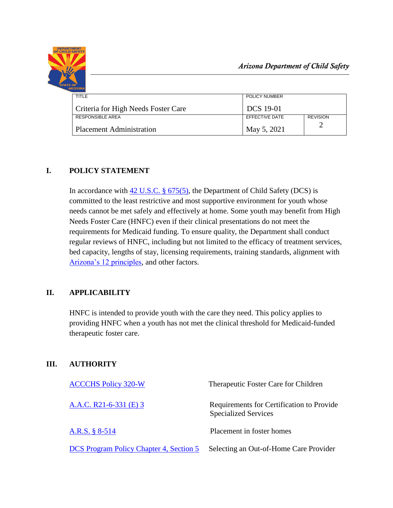

| TITLE                               | POLICY NUMBER    |                 |
|-------------------------------------|------------------|-----------------|
| Criteria for High Needs Foster Care | <b>DCS</b> 19-01 |                 |
| RESPONSIBLE AREA                    | EFFECTIVE DATE   | <b>REVISION</b> |
| <b>Placement Administration</b>     | May 5, 2021      |                 |

## **I. POLICY STATEMENT**

In accordance with [42 U.S.C. § 675\(5\),](https://www.govinfo.gov/content/pkg/USCODE-2011-title42/pdf/USCODE-2011-title42-chap7-subchapIV-partE-sec675.pdf) the Department of Child Safety (DCS) is committed to the least restrictive and most supportive environment for youth whose needs cannot be met safely and effectively at home. Some youth may benefit from High Needs Foster Care (HNFC) even if their clinical presentations do not meet the requirements for Medicaid funding. To ensure quality, the Department shall conduct regular reviews of HNFC, including but not limited to the efficacy of treatment services, bed capacity, lengths of stay, licensing requirements, training standards, alignment with [Arizona's 12 principles,](https://www.azahcccs.gov/AHCCCS/Downloads/12GuidingPrinciplesInTheChildrensSystemOfCare20200213.pdf) and other factors.

# **II. APPLICABILITY**

HNFC is intended to provide youth with the care they need. This policy applies to providing HNFC when a youth has not met the clinical threshold for Medicaid-funded therapeutic foster care.

# **III. AUTHORITY**

| <b>ACCCHS Policy 320-W</b>              | Therapeutic Foster Care for Children                                     |
|-----------------------------------------|--------------------------------------------------------------------------|
| A.A.C. R21-6-331 (E) 3                  | Requirements for Certification to Provide<br><b>Specialized Services</b> |
| A.R.S. § 8-514                          | Placement in foster homes                                                |
| DCS Program Policy Chapter 4, Section 5 | Selecting an Out-of-Home Care Provider                                   |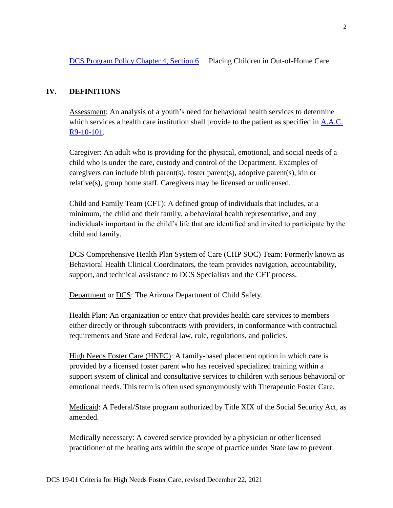#### **IV. DEFINITIONS**

Assessment: An analysis of a youth's need for behavioral health services to determine which services a health care institution shall provide to the patient as specified in **A.A.C.** [R9-10-101.](https://apps.azsos.gov/public_services/Title_09/9-10.pdf)

Caregiver: An adult who is providing for the physical, emotional, and social needs of a child who is under the care, custody and control of the Department. Examples of caregivers can include birth parent(s), foster parent(s), adoptive parent(s), kin or relative(s), group home staff. Caregivers may be licensed or unlicensed.

Child and Family Team (CFT): A defined group of individuals that includes, at a minimum, the child and their family, a behavioral health representative, and any individuals important in the child's life that are identified and invited to participate by the child and family.

DCS Comprehensive Health Plan System of Care (CHP SOC) Team: Formerly known as Behavioral Health Clinical Coordinators, the team provides navigation, accountability, support, and technical assistance to DCS Specialists and the CFT process.

Department or DCS: The Arizona Department of Child Safety.

Health Plan: An organization or entity that provides health care services to members either directly or through subcontracts with providers, in conformance with contractual requirements and State and Federal law, rule, regulations, and policies.

High Needs Foster Care (HNFC): A family-based placement option in which care is provided by a licensed foster parent who has received specialized training within a support system of clinical and consultative services to children with serious behavioral or emotional needs. This term is often used synonymously with Therapeutic Foster Care.

Medicaid: A Federal/State program authorized by Title XIX of the Social Security Act, as amended.

Medically necessary: A covered service provided by a physician or other licensed practitioner of the healing arts within the scope of practice under State law to prevent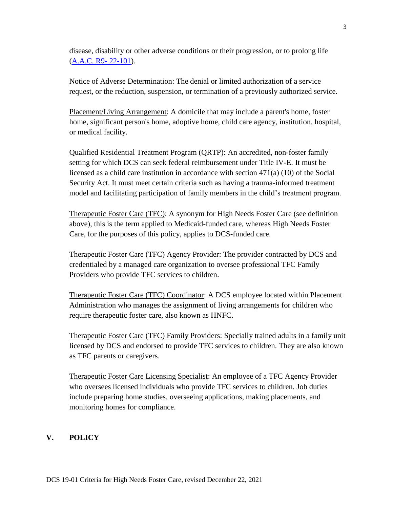disease, disability or other adverse conditions or their progression, or to prolong life [\(A.A.C. R9-](https://apps.azsos.gov/public_services/Title_09/9-22.pdf) 22-101).

Notice of Adverse Determination: The denial or limited authorization of a service request, or the reduction, suspension, or termination of a previously authorized service.

Placement/Living Arrangement: A domicile that may include a parent's home, foster home, significant person's home, adoptive home, child care agency, institution, hospital, or medical facility.

Qualified Residential Treatment Program (QRTP): An accredited, non-foster family setting for which DCS can seek federal reimbursement under Title IV-E. It must be licensed as a child care institution in accordance with section 471(a) (10) of the Social Security Act. It must meet certain criteria such as having a trauma-informed treatment model and facilitating participation of family members in the child's treatment program.

Therapeutic Foster Care (TFC): A synonym for High Needs Foster Care (see definition above), this is the term applied to Medicaid-funded care, whereas High Needs Foster Care, for the purposes of this policy, applies to DCS-funded care.

Therapeutic Foster Care (TFC) Agency Provider: The provider contracted by DCS and credentialed by a managed care organization to oversee professional TFC Family Providers who provide TFC services to children.

Therapeutic Foster Care (TFC) Coordinator: A DCS employee located within Placement Administration who manages the assignment of living arrangements for children who require therapeutic foster care, also known as HNFC.

Therapeutic Foster Care (TFC) Family Providers: Specially trained adults in a family unit licensed by DCS and endorsed to provide TFC services to children. They are also known as TFC parents or caregivers.

Therapeutic Foster Care Licensing Specialist: An employee of a TFC Agency Provider who oversees licensed individuals who provide TFC services to children. Job duties include preparing home studies, overseeing applications, making placements, and monitoring homes for compliance.

### **V. POLICY**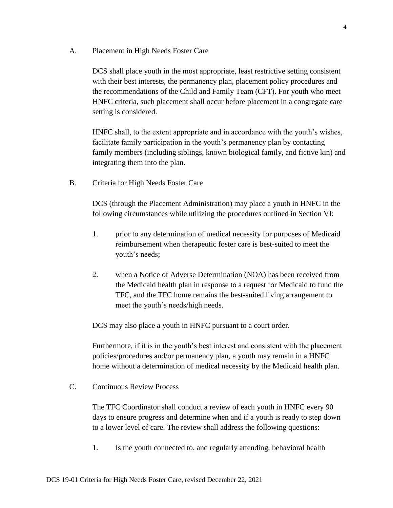A. Placement in High Needs Foster Care

DCS shall place youth in the most appropriate, least restrictive setting consistent with their best interests, the permanency plan, placement policy procedures and the recommendations of the Child and Family Team (CFT). For youth who meet HNFC criteria, such placement shall occur before placement in a congregate care setting is considered.

HNFC shall, to the extent appropriate and in accordance with the youth's wishes, facilitate family participation in the youth's permanency plan by contacting family members (including siblings, known biological family, and fictive kin) and integrating them into the plan.

B. Criteria for High Needs Foster Care

DCS (through the Placement Administration) may place a youth in HNFC in the following circumstances while utilizing the procedures outlined in Section VI:

- 1. prior to any determination of medical necessity for purposes of Medicaid reimbursement when therapeutic foster care is best-suited to meet the youth's needs;
- 2. when a Notice of Adverse Determination (NOA) has been received from the Medicaid health plan in response to a request for Medicaid to fund the TFC, and the TFC home remains the best-suited living arrangement to meet the youth's needs/high needs.

DCS may also place a youth in HNFC pursuant to a court order.

Furthermore, if it is in the youth's best interest and consistent with the placement policies/procedures and/or permanency plan, a youth may remain in a HNFC home without a determination of medical necessity by the Medicaid health plan.

C. Continuous Review Process

The TFC Coordinator shall conduct a review of each youth in HNFC every 90 days to ensure progress and determine when and if a youth is ready to step down to a lower level of care. The review shall address the following questions:

1. Is the youth connected to, and regularly attending, behavioral health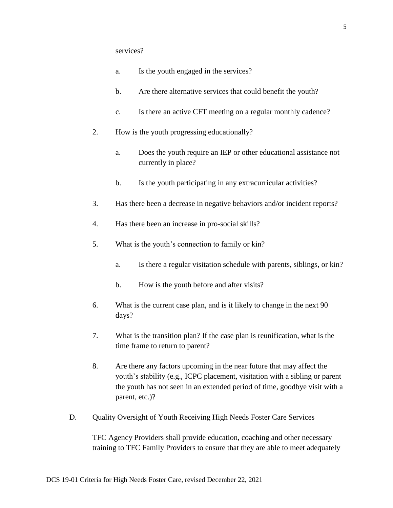- a. Is the youth engaged in the services?
- b. Are there alternative services that could benefit the youth?
- c. Is there an active CFT meeting on a regular monthly cadence?
- 2. How is the youth progressing educationally?
	- a. Does the youth require an IEP or other educational assistance not currently in place?
	- b. Is the youth participating in any extracurricular activities?
- 3. Has there been a decrease in negative behaviors and/or incident reports?
- 4. Has there been an increase in pro-social skills?
- 5. What is the youth's connection to family or kin?
	- a. Is there a regular visitation schedule with parents, siblings, or kin?
	- b. How is the youth before and after visits?
- 6. What is the current case plan, and is it likely to change in the next 90 days?
- 7. What is the transition plan? If the case plan is reunification, what is the time frame to return to parent?
- 8. Are there any factors upcoming in the near future that may affect the youth's stability (e.g., ICPC placement, visitation with a sibling or parent the youth has not seen in an extended period of time, goodbye visit with a parent, etc.)?
- D. Quality Oversight of Youth Receiving High Needs Foster Care Services

TFC Agency Providers shall provide education, coaching and other necessary training to TFC Family Providers to ensure that they are able to meet adequately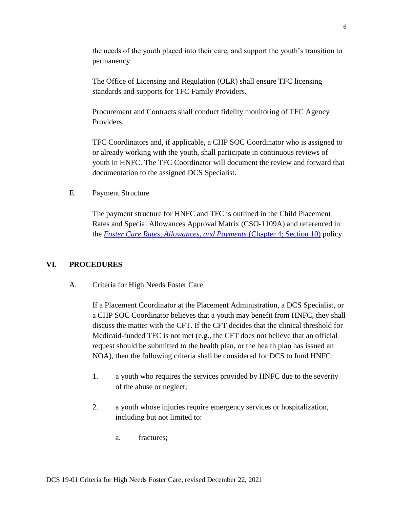the needs of the youth placed into their care, and support the youth's transition to permanency.

The Office of Licensing and Regulation (OLR) shall ensure TFC licensing standards and supports for TFC Family Providers.

Procurement and Contracts shall conduct fidelity monitoring of TFC Agency Providers.

TFC Coordinators and, if applicable, a CHP SOC Coordinator who is assigned to or already working with the youth, shall participate in continuous reviews of youth in HNFC. The TFC Coordinator will document the review and forward that documentation to the assigned DCS Specialist.

E. Payment Structure

The payment structure for HNFC and TFC is outlined in the Child Placement Rates and Special Allowances Approval Matrix (CSO-1109A) and referenced in the *[Foster Care Rates, Allowances, and Payments](https://extranet.azdcs.gov/DCSPolicy/Content/Program%20Policy/04_Out_of_Home_Care/CH4_S10%20Foster%20Care%20Rates,%20Allowances%20&%20Payments.htm)* (Chapter 4; Section 10) policy.

### **VI. PROCEDURES**

A. Criteria for High Needs Foster Care

If a Placement Coordinator at the Placement Administration, a DCS Specialist, or a CHP SOC Coordinator believes that a youth may benefit from HNFC, they shall discuss the matter with the CFT. If the CFT decides that the clinical threshold for Medicaid-funded TFC is not met (e.g., the CFT does not believe that an official request should be submitted to the health plan, or the health plan has issued an NOA), then the following criteria shall be considered for DCS to fund HNFC:

- 1. a youth who requires the services provided by HNFC due to the severity of the abuse or neglect;
- 2. a youth whose injuries require emergency services or hospitalization, including but not limited to:
	- a. fractures;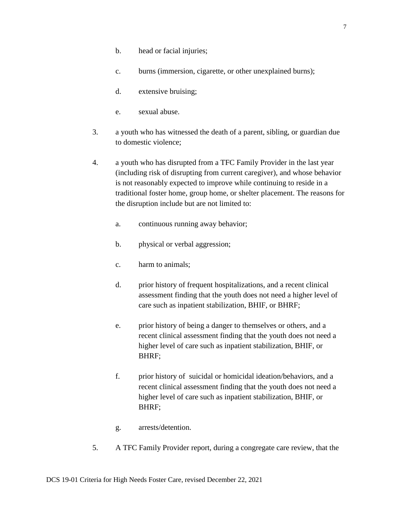- b. head or facial injuries;
- c. burns (immersion, cigarette, or other unexplained burns);
- d. extensive bruising;
- e. sexual abuse.
- 3. a youth who has witnessed the death of a parent, sibling, or guardian due to domestic violence;
- 4. a youth who has disrupted from a TFC Family Provider in the last year (including risk of disrupting from current caregiver), and whose behavior is not reasonably expected to improve while continuing to reside in a traditional foster home, group home, or shelter placement. The reasons for the disruption include but are not limited to:
	- a. continuous running away behavior;
	- b. physical or verbal aggression;
	- c. harm to animals;
	- d. prior history of frequent hospitalizations, and a recent clinical assessment finding that the youth does not need a higher level of care such as inpatient stabilization, BHIF, or BHRF;
	- e. prior history of being a danger to themselves or others, and a recent clinical assessment finding that the youth does not need a higher level of care such as inpatient stabilization, BHIF, or BHRF;
	- f. prior history of suicidal or homicidal ideation/behaviors, and a recent clinical assessment finding that the youth does not need a higher level of care such as inpatient stabilization, BHIF, or BHRF;
	- g. arrests/detention.
- 5. A TFC Family Provider report, during a congregate care review, that the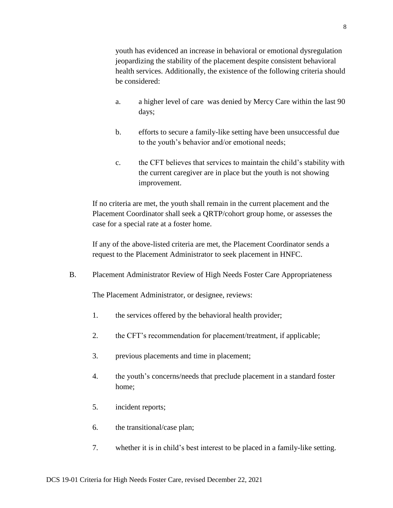youth has evidenced an increase in behavioral or emotional dysregulation jeopardizing the stability of the placement despite consistent behavioral health services. Additionally, the existence of the following criteria should be considered:

- a. a higher level of care was denied by Mercy Care within the last 90 days;
- b. efforts to secure a family-like setting have been unsuccessful due to the youth's behavior and/or emotional needs;
- c. the CFT believes that services to maintain the child's stability with the current caregiver are in place but the youth is not showing improvement.

If no criteria are met, the youth shall remain in the current placement and the Placement Coordinator shall seek a QRTP/cohort group home, or assesses the case for a special rate at a foster home.

If any of the above-listed criteria are met, the Placement Coordinator sends a request to the Placement Administrator to seek placement in HNFC.

B. Placement Administrator Review of High Needs Foster Care Appropriateness

The Placement Administrator, or designee, reviews:

- 1. the services offered by the behavioral health provider;
- 2. the CFT's recommendation for placement/treatment, if applicable;
- 3. previous placements and time in placement;
- 4. the youth's concerns/needs that preclude placement in a standard foster home;
- 5. incident reports;
- 6. the transitional/case plan;
- 7. whether it is in child's best interest to be placed in a family-like setting.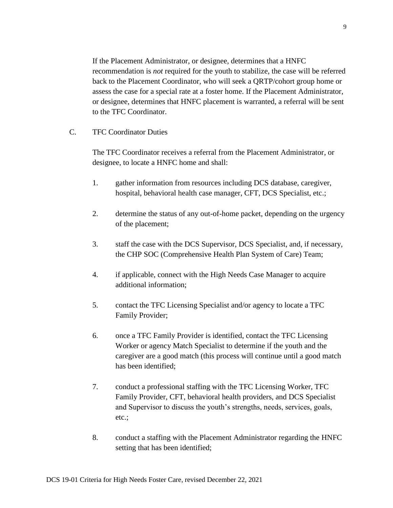If the Placement Administrator, or designee, determines that a HNFC recommendation is *not* required for the youth to stabilize, the case will be referred back to the Placement Coordinator, who will seek a QRTP/cohort group home or assess the case for a special rate at a foster home. If the Placement Administrator, or designee, determines that HNFC placement is warranted, a referral will be sent to the TFC Coordinator.

C. TFC Coordinator Duties

The TFC Coordinator receives a referral from the Placement Administrator, or designee, to locate a HNFC home and shall:

- 1. gather information from resources including DCS database, caregiver, hospital, behavioral health case manager, CFT, DCS Specialist, etc.;
- 2. determine the status of any out-of-home packet, depending on the urgency of the placement;
- 3. staff the case with the DCS Supervisor, DCS Specialist, and, if necessary, the CHP SOC (Comprehensive Health Plan System of Care) Team;
- 4. if applicable, connect with the High Needs Case Manager to acquire additional information;
- 5. contact the TFC Licensing Specialist and/or agency to locate a TFC Family Provider;
- 6. once a TFC Family Provider is identified, contact the TFC Licensing Worker or agency Match Specialist to determine if the youth and the caregiver are a good match (this process will continue until a good match has been identified;
- 7. conduct a professional staffing with the TFC Licensing Worker, TFC Family Provider, CFT, behavioral health providers, and DCS Specialist and Supervisor to discuss the youth's strengths, needs, services, goals, etc.;
- 8. conduct a staffing with the Placement Administrator regarding the HNFC setting that has been identified;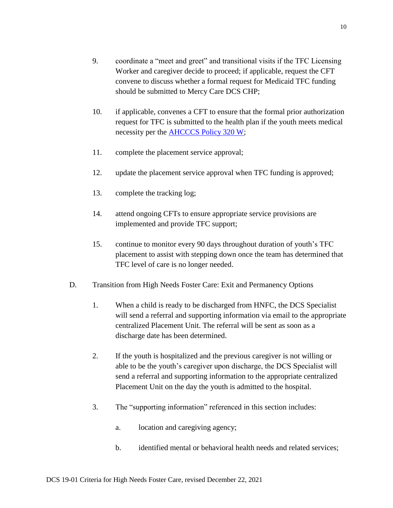- 9. coordinate a "meet and greet" and transitional visits if the TFC Licensing Worker and caregiver decide to proceed; if applicable, request the CFT convene to discuss whether a formal request for Medicaid TFC funding should be submitted to Mercy Care DCS CHP;
- 10. if applicable, convenes a CFT to ensure that the formal prior authorization request for TFC is submitted to the health plan if the youth meets medical necessity per the **AHCCCS** Policy 320 W;
- 11. complete the placement service approval;
- 12. update the placement service approval when TFC funding is approved;
- 13. complete the tracking log;
- 14. attend ongoing CFTs to ensure appropriate service provisions are implemented and provide TFC support;
- 15. continue to monitor every 90 days throughout duration of youth's TFC placement to assist with stepping down once the team has determined that TFC level of care is no longer needed.
- D. Transition from High Needs Foster Care: Exit and Permanency Options
	- 1. When a child is ready to be discharged from HNFC, the DCS Specialist will send a referral and supporting information via email to the appropriate centralized Placement Unit. The referral will be sent as soon as a discharge date has been determined.
	- 2. If the youth is hospitalized and the previous caregiver is not willing or able to be the youth's caregiver upon discharge, the DCS Specialist will send a referral and supporting information to the appropriate centralized Placement Unit on the day the youth is admitted to the hospital.
	- 3. The "supporting information" referenced in this section includes:
		- a. location and caregiving agency;
		- b. identified mental or behavioral health needs and related services;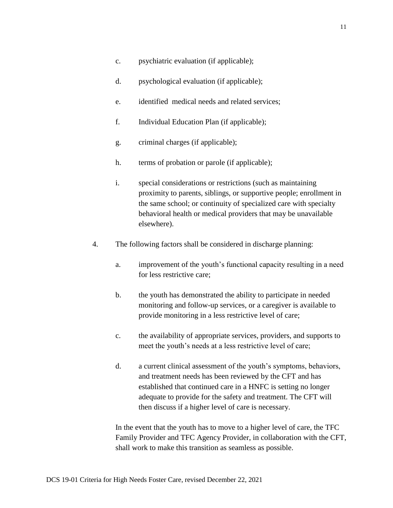- c. psychiatric evaluation (if applicable);
- d. psychological evaluation (if applicable);
- e. identified medical needs and related services;
- f. Individual Education Plan (if applicable);
- g. criminal charges (if applicable);
- h. terms of probation or parole (if applicable);
- i. special considerations or restrictions (such as maintaining proximity to parents, siblings, or supportive people; enrollment in the same school; or continuity of specialized care with specialty behavioral health or medical providers that may be unavailable elsewhere).
- 4. The following factors shall be considered in discharge planning:
	- a. improvement of the youth's functional capacity resulting in a need for less restrictive care;
	- b. the youth has demonstrated the ability to participate in needed monitoring and follow-up services, or a caregiver is available to provide monitoring in a less restrictive level of care;
	- c. the availability of appropriate services, providers, and supports to meet the youth's needs at a less restrictive level of care;
	- d. a current clinical assessment of the youth's symptoms, behaviors, and treatment needs has been reviewed by the CFT and has established that continued care in a HNFC is setting no longer adequate to provide for the safety and treatment. The CFT will then discuss if a higher level of care is necessary.

In the event that the youth has to move to a higher level of care, the TFC Family Provider and TFC Agency Provider, in collaboration with the CFT, shall work to make this transition as seamless as possible.